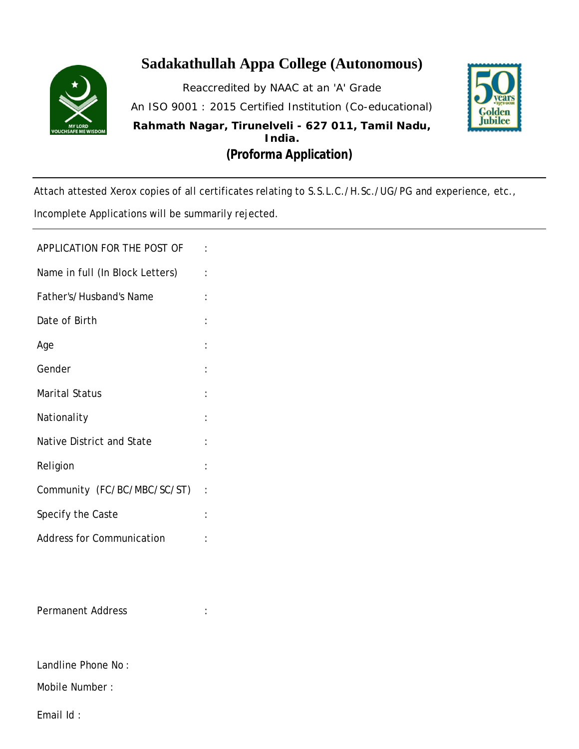

## **Sadakathullah Appa College (Autonomous)**

Reaccredited by NAAC at an 'A' Grade An ISO 9001 : 2015 Certified Institution (Co-educational) **Rahmath Nagar, Tirunelveli - 627 011, Tamil Nadu, India. (Proforma Application)**



Attach attested Xerox copies of all certificates relating to S.S.L.C./H.Sc./UG/PG and experience, etc.,

Incomplete Applications will be summarily rejected.

APPLICATION FOR THE POST OF :

- Name in full (In Block Letters) :
- Father's/Husband's Name : Date of Birth Age is a set of the set of the set of the set of the set of the set of the set of the set of the set of the se Gender in the set of the set of the set of the set of the set of the set of the set of the set of the set of the set of the set of the set of the set of the set of the set of the set of the set of the set of the set of the Marital Status **Nationality**
- Native District and State : Religion : the set of the set of the set of the set of the set of the set of the set of the set of the set of the set of the set of the set of the set of the set of the set of the set of the set of the set of the set of th Community (FC/BC/MBC/SC/ST) : Specify the Caste in the control of the Caste
- Address for Communication :

Permanent Address :

Landline Phone No :

Mobile Number :

Email Id :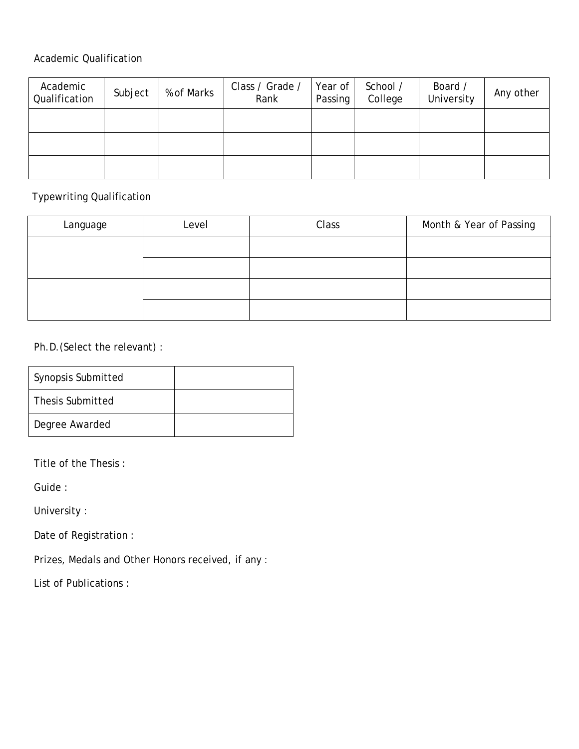#### Academic Qualification

| Academic<br>Qualification | Subject | % of Marks | Class / Grade /<br>Rank | Year of<br>Passing | School /<br>College | Board /<br>University | Any other |
|---------------------------|---------|------------|-------------------------|--------------------|---------------------|-----------------------|-----------|
|                           |         |            |                         |                    |                     |                       |           |
|                           |         |            |                         |                    |                     |                       |           |
|                           |         |            |                         |                    |                     |                       |           |

### Typewriting Qualification

| Language | Level | Class | Month & Year of Passing |
|----------|-------|-------|-------------------------|
|          |       |       |                         |
|          |       |       |                         |
|          |       |       |                         |
|          |       |       |                         |

### Ph.D.(Select the relevant) :

| Synopsis Submitted |  |
|--------------------|--|
| Thesis Submitted   |  |
| Degree Awarded     |  |

Title of the Thesis :

Guide :

University :

Date of Registration :

Prizes, Medals and Other Honors received, if any :

List of Publications :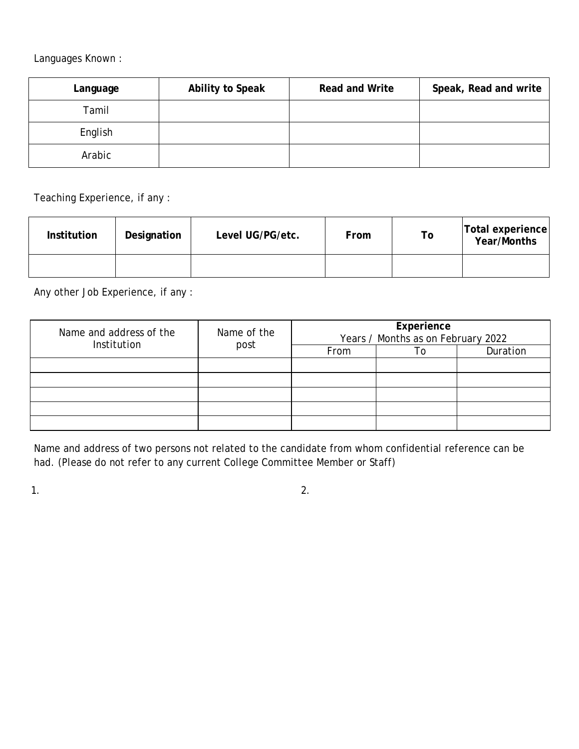Languages Known :

| Language | <b>Ability to Speak</b> | <b>Read and Write</b> | Speak, Read and write |
|----------|-------------------------|-----------------------|-----------------------|
| Tamil    |                         |                       |                       |
| English  |                         |                       |                       |
| Arabic   |                         |                       |                       |

Teaching Experience, if any :

| <b>Institution</b> | Designation | Level UG/PG/etc. | From | Τo | <b>Total experience</b><br><b>Year/Months</b> |
|--------------------|-------------|------------------|------|----|-----------------------------------------------|
|                    |             |                  |      |    |                                               |

Any other Job Experience, if any :

| Name and address of the<br>Institution | Name of the<br>post | Experience<br>Years / Months as on February 2022 |  |          |  |
|----------------------------------------|---------------------|--------------------------------------------------|--|----------|--|
|                                        |                     | From                                             |  | Duration |  |
|                                        |                     |                                                  |  |          |  |
|                                        |                     |                                                  |  |          |  |
|                                        |                     |                                                  |  |          |  |
|                                        |                     |                                                  |  |          |  |
|                                        |                     |                                                  |  |          |  |

Name and address of two persons not related to the candidate from whom confidential reference can be had. (Please do not refer to any current College Committee Member or Staff)

 $1.$  2.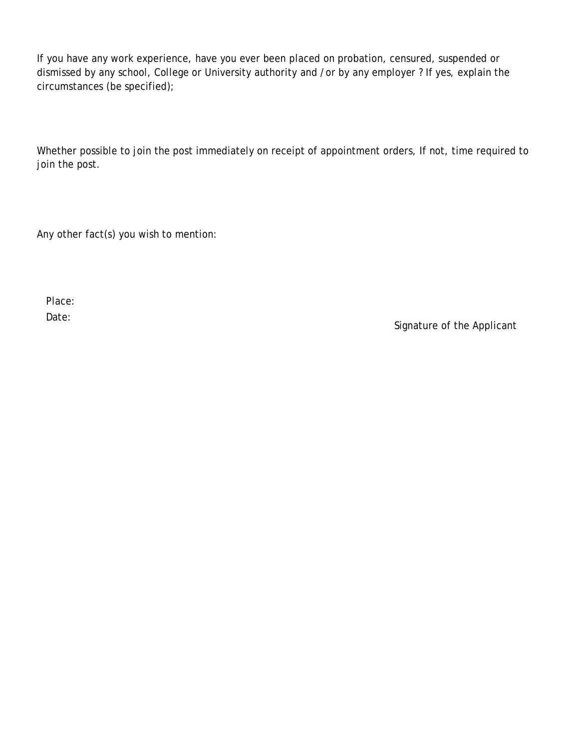If you have any work experience, have you ever been placed on probation, censured, suspended or dismissed by any school, College or University authority and /or by any employer ? If yes, explain the circumstances (be specified);

Whether possible to join the post immediately on receipt of appointment orders, If not, time required to join the post.

Any other fact(s) you wish to mention:

Place: Date:

Signature of the Applicant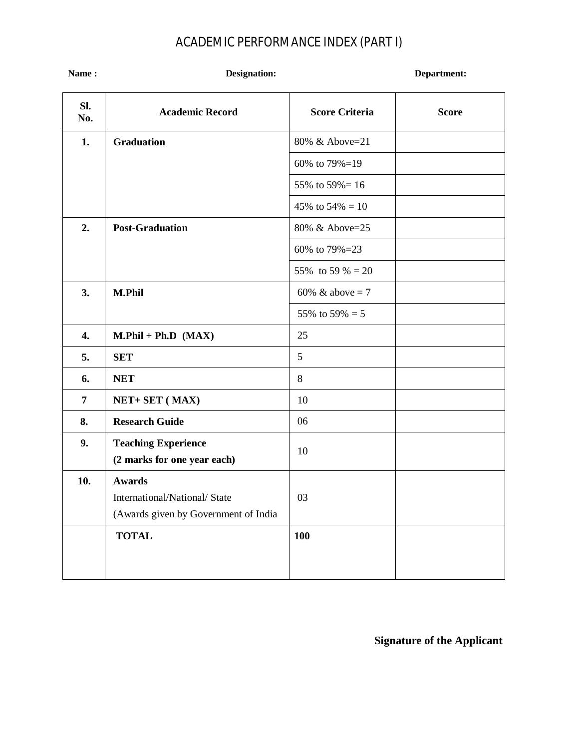# ACADEMIC PERFORMANCE INDEX (PART I)

| Name:          | <b>Designation:</b>                                                                   |                       | Department:  |  |
|----------------|---------------------------------------------------------------------------------------|-----------------------|--------------|--|
| Sl.<br>No.     | <b>Academic Record</b>                                                                | <b>Score Criteria</b> | <b>Score</b> |  |
| 1.             | <b>Graduation</b>                                                                     | 80% & Above=21        |              |  |
|                |                                                                                       | 60% to 79%=19         |              |  |
|                |                                                                                       | 55% to 59% = 16       |              |  |
|                |                                                                                       | 45% to $54\% = 10$    |              |  |
| 2.             | <b>Post-Graduation</b>                                                                | 80% & Above=25        |              |  |
|                |                                                                                       | 60% to 79%=23         |              |  |
|                |                                                                                       | 55% to 59 % = 20      |              |  |
| 3.             | <b>M.Phil</b>                                                                         | 60% & above = 7       |              |  |
|                |                                                                                       | 55% to 59% = 5        |              |  |
| 4.             | $M.Phil + Ph.D (MAX)$                                                                 | 25                    |              |  |
| 5.             | <b>SET</b>                                                                            | 5                     |              |  |
| 6.             | <b>NET</b>                                                                            | 8                     |              |  |
| $\overline{7}$ | NET+ SET (MAX)                                                                        | 10                    |              |  |
| 8.             | <b>Research Guide</b>                                                                 | 06                    |              |  |
| 9.             | <b>Teaching Experience</b><br>(2 marks for one year each)                             | 10                    |              |  |
| 10.            | <b>Awards</b><br>International/National/State<br>(Awards given by Government of India | 03                    |              |  |
|                | <b>TOTAL</b>                                                                          | <b>100</b>            |              |  |

**Signature of the Applicant**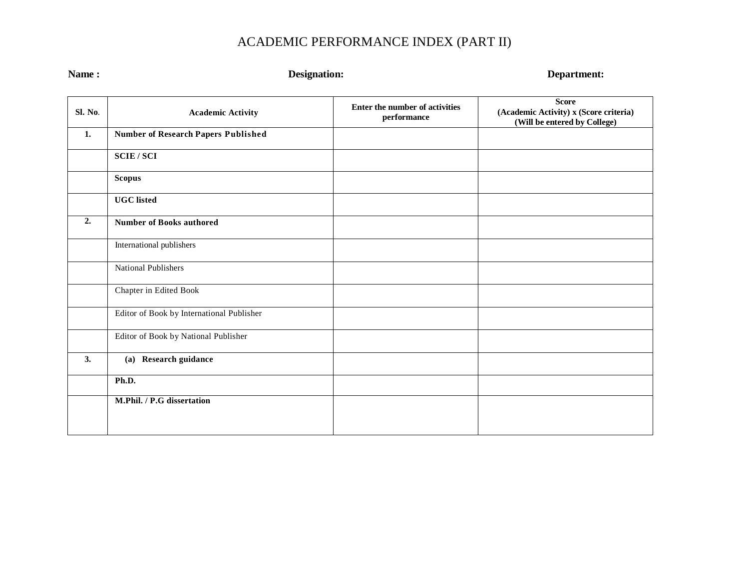# ACADEMIC PERFORMANCE INDEX (PART II)

| Name:   | <b>Designation:</b>                       | Department:                                   |                                                                                        |  |
|---------|-------------------------------------------|-----------------------------------------------|----------------------------------------------------------------------------------------|--|
| Sl. No. | <b>Academic Activity</b>                  | Enter the number of activities<br>performance | <b>Score</b><br>(Academic Activity) x (Score criteria)<br>(Will be entered by College) |  |
| 1.      | Number of Research Papers Published       |                                               |                                                                                        |  |
|         | <b>SCIE/SCI</b>                           |                                               |                                                                                        |  |
|         | <b>Scopus</b>                             |                                               |                                                                                        |  |
|         | <b>UGC</b> listed                         |                                               |                                                                                        |  |
| 2.      | <b>Number of Books authored</b>           |                                               |                                                                                        |  |
|         | International publishers                  |                                               |                                                                                        |  |
|         | National Publishers                       |                                               |                                                                                        |  |
|         | Chapter in Edited Book                    |                                               |                                                                                        |  |
|         | Editor of Book by International Publisher |                                               |                                                                                        |  |
|         | Editor of Book by National Publisher      |                                               |                                                                                        |  |
| 3.      | (a) Research guidance                     |                                               |                                                                                        |  |
|         | Ph.D.                                     |                                               |                                                                                        |  |
|         | M.Phil. / P.G dissertation                |                                               |                                                                                        |  |